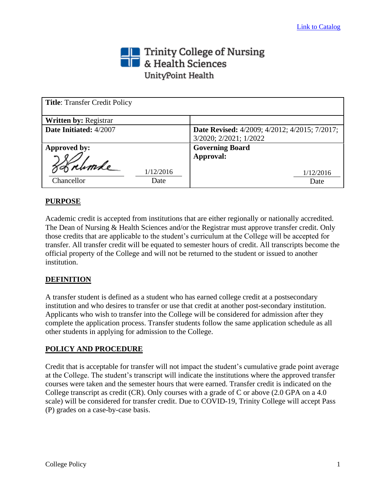# Trinity College of Nursing<br> **The State Sciences** UnityPoint Health

| <b>Title: Transfer Credit Policy</b> |                                                      |
|--------------------------------------|------------------------------------------------------|
| <b>Written by: Registrar</b>         |                                                      |
| Date Initiated: 4/2007               | <b>Date Revised:</b> 4/2009; 4/2012; 4/2015; 7/2017; |
|                                      | 3/2020; 2/2021; 1/2022                               |
| Approved by:                         | <b>Governing Board</b>                               |
|                                      | Approval:                                            |
| 1/12/2016                            | 1/12/2016                                            |
| Chancellor<br>Date                   | Date                                                 |

# **PURPOSE**

Academic credit is accepted from institutions that are either regionally or nationally accredited. The Dean of Nursing & Health Sciences and/or the Registrar must approve transfer credit. Only those credits that are applicable to the student's curriculum at the College will be accepted for transfer. All transfer credit will be equated to semester hours of credit. All transcripts become the official property of the College and will not be returned to the student or issued to another institution.

# **DEFINITION**

A transfer student is defined as a student who has earned college credit at a postsecondary institution and who desires to transfer or use that credit at another post-secondary institution. Applicants who wish to transfer into the College will be considered for admission after they complete the application process. Transfer students follow the same application schedule as all other students in applying for admission to the College.

# **POLICY AND PROCEDURE**

Credit that is acceptable for transfer will not impact the student's cumulative grade point average at the College. The student's transcript will indicate the institutions where the approved transfer courses were taken and the semester hours that were earned. Transfer credit is indicated on the College transcript as credit (CR). Only courses with a grade of C or above (2.0 GPA on a 4.0 scale) will be considered for transfer credit. Due to COVID-19, Trinity College will accept Pass (P) grades on a case-by-case basis.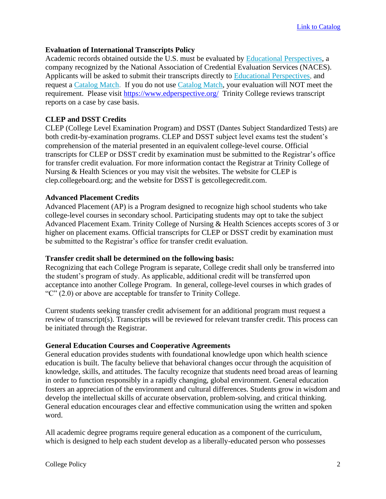# **Evaluation of International Transcripts Policy**

Academic records obtained outside the U.S. must be evaluated by [Educational Perspectives,](http://www.edperspective.org/) a company recognized by the National Association of Credential Evaluation Services (NACES). Applicants will be asked to submit their transcripts directly to [Educational Perspectives,](http://www.edperspective.org/) and request a [Catalog Match.](https://www.edperspective.org/credential-evaluation-services.php) If you do not use [Catalog Match,](https://www.edperspective.org/credential-evaluation-services.php) your evaluation will NOT meet the requirement. Please visit<https://www.edperspective.org/>Trinity College reviews transcript reports on a case by case basis.

# **CLEP and DSST Credits**

CLEP (College Level Examination Program) and DSST (Dantes Subject Standardized Tests) are both credit-by-examination programs. CLEP and DSST subject level exams test the student's comprehension of the material presented in an equivalent college-level course. Official transcripts for CLEP or DSST credit by examination must be submitted to the Registrar's office for transfer credit evaluation. For more information contact the Registrar at Trinity College of Nursing & Health Sciences or you may visit the websites. The website for CLEP is clep.collegeboard.org; and the website for DSST is getcollegecredit.com.

# **Advanced Placement Credits**

Advanced Placement (AP) is a Program designed to recognize high school students who take college-level courses in secondary school. Participating students may opt to take the subject Advanced Placement Exam. Trinity College of Nursing & Health Sciences accepts scores of 3 or higher on placement exams. Official transcripts for CLEP or DSST credit by examination must be submitted to the Registrar's office for transfer credit evaluation.

#### **Transfer credit shall be determined on the following basis:**

Recognizing that each College Program is separate, College credit shall only be transferred into the student's program of study. As applicable, additional credit will be transferred upon acceptance into another College Program. In general, college-level courses in which grades of "C" (2.0) or above are acceptable for transfer to Trinity College.

Current students seeking transfer credit advisement for an additional program must request a review of transcript(s). Transcripts will be reviewed for relevant transfer credit. This process can be initiated through the Registrar.

# **General Education Courses and Cooperative Agreements**

General education provides students with foundational knowledge upon which health science education is built. The faculty believe that behavioral changes occur through the acquisition of knowledge, skills, and attitudes. The faculty recognize that students need broad areas of learning in order to function responsibly in a rapidly changing, global environment. General education fosters an appreciation of the environment and cultural differences. Students grow in wisdom and develop the intellectual skills of accurate observation, problem-solving, and critical thinking. General education encourages clear and effective communication using the written and spoken word.

All academic degree programs require general education as a component of the curriculum, which is designed to help each student develop as a liberally-educated person who possesses